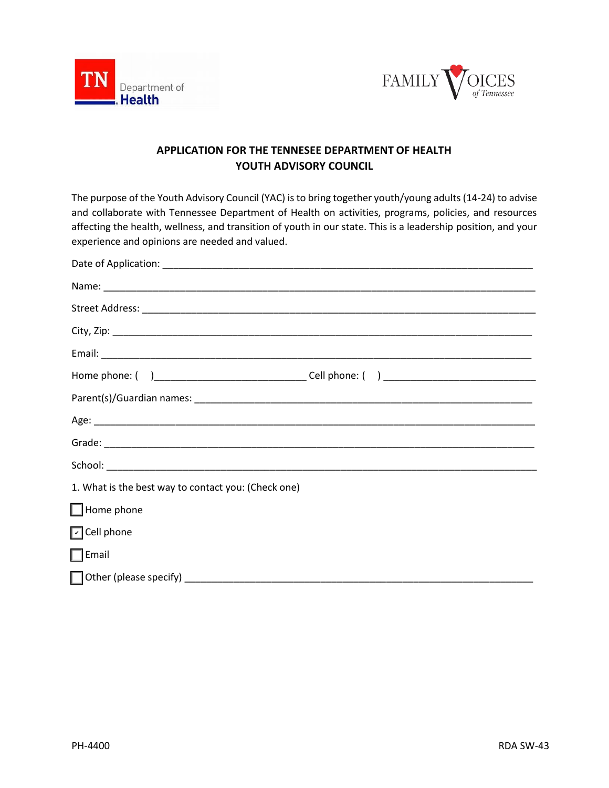



# **APPLICATION FOR THE TENNESEE DEPARTMENT OF HEALTH YOUTH ADVISORY COUNCIL**

The purpose of the Youth Advisory Council (YAC) is to bring together youth/young adults (14-24) to advise and collaborate with Tennessee Department of Health on activities, programs, policies, and resources affecting the health, wellness, and transition of youth in our state. This is a leadership position, and your experience and opinions are needed and valued.

| 1. What is the best way to contact you: (Check one) |  |
|-----------------------------------------------------|--|
| $\Box$ Home phone                                   |  |
| O Cell phone                                        |  |
| $\Box$ Email                                        |  |
|                                                     |  |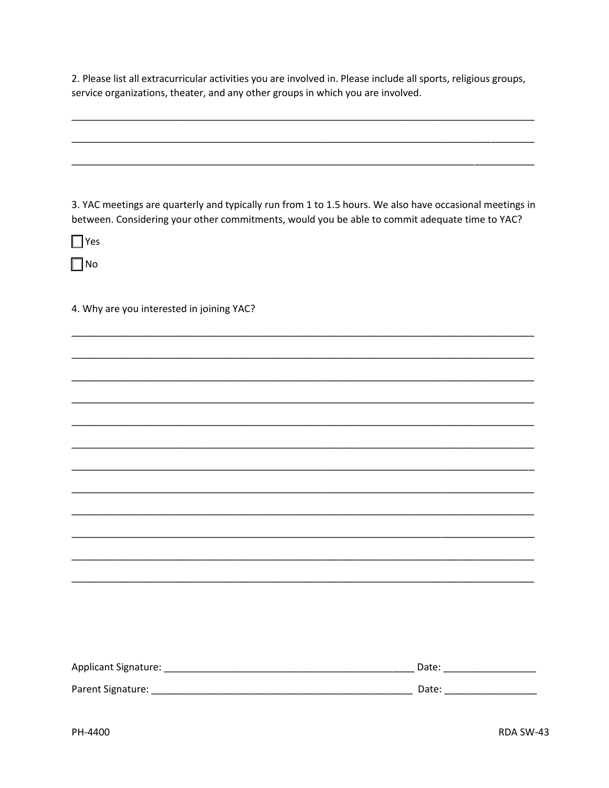2. Please list all extracurricular activities you are involved in. Please include all sports, religious groups, service organizations, theater, and any other groups in which you are involved.

3. YAC meetings are quarterly and typically run from 1 to 1.5 hours. We also have occasional meetings in between. Considering your other commitments, would you be able to commit adequate time to YAC?

 $\Box$  Yes

 $\Box$ No

4. Why are you interested in joining YAC?

| Applicant Signature: | Date: |
|----------------------|-------|
| Parent Signature:    | Date: |
|                      |       |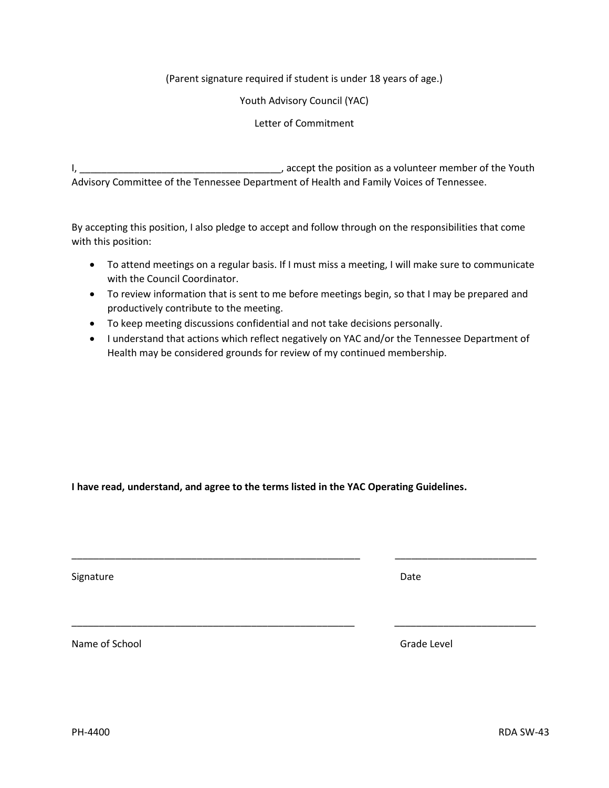## (Parent signature required if student is under 18 years of age.)

#### Youth Advisory Council (YAC)

## Letter of Commitment

I, \_\_\_\_\_\_\_\_\_\_\_\_\_\_\_\_\_\_\_\_\_\_\_\_\_\_\_\_\_\_\_\_\_\_\_\_\_, accept the position as a volunteer member of the Youth Advisory Committee of the Tennessee Department of Health and Family Voices of Tennessee.

By accepting this position, I also pledge to accept and follow through on the responsibilities that come with this position:

- To attend meetings on a regular basis. If I must miss a meeting, I will make sure to communicate with the Council Coordinator.
- To review information that is sent to me before meetings begin, so that I may be prepared and productively contribute to the meeting.
- To keep meeting discussions confidential and not take decisions personally.
- I understand that actions which reflect negatively on YAC and/or the Tennessee Department of Health may be considered grounds for review of my continued membership.

**I have read, understand, and agree to the terms listed in the YAC Operating Guidelines.**

\_\_\_\_\_\_\_\_\_\_\_\_\_\_\_\_\_\_\_\_\_\_\_\_\_\_\_\_\_\_\_\_\_\_\_\_\_\_\_\_\_\_\_\_\_\_\_\_\_\_\_\_\_ \_\_\_\_\_\_\_\_\_\_\_\_\_\_\_\_\_\_\_\_\_\_\_\_\_\_

\_\_\_\_\_\_\_\_\_\_\_\_\_\_\_\_\_\_\_\_\_\_\_\_\_\_\_\_\_\_\_\_\_\_\_\_\_\_\_\_\_\_\_\_\_\_\_\_\_\_\_\_ \_\_\_\_\_\_\_\_\_\_\_\_\_\_\_\_\_\_\_\_\_\_\_\_\_\_

Signature Date

Name of School and The School Capital Control of School Capital Capital Capital Capital Capital Capital Capital Capital Capital Capital Capital Capital Capital Capital Capital Capital Capital Capital Capital Capital Capita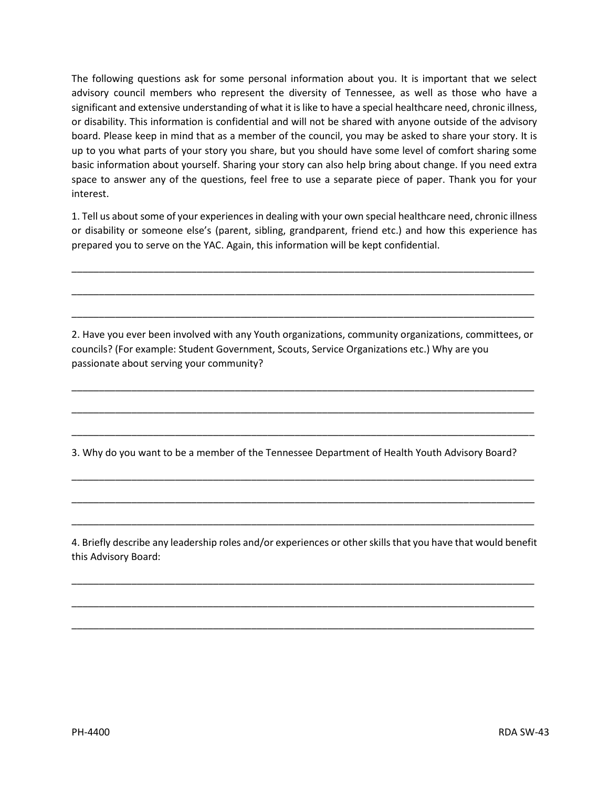The following questions ask for some personal information about you. It is important that we select advisory council members who represent the diversity of Tennessee, as well as those who have a significant and extensive understanding of what it is like to have a special healthcare need, chronic illness, or disability. This information is confidential and will not be shared with anyone outside of the advisory board. Please keep in mind that as a member of the council, you may be asked to share your story. It is up to you what parts of your story you share, but you should have some level of comfort sharing some basic information about yourself. Sharing your story can also help bring about change. If you need extra space to answer any of the questions, feel free to use a separate piece of paper. Thank you for your interest.

1. Tell us about some of your experiences in dealing with your own special healthcare need, chronic illness or disability or someone else's (parent, sibling, grandparent, friend etc.) and how this experience has prepared you to serve on the YAC. Again, this information will be kept confidential.

\_\_\_\_\_\_\_\_\_\_\_\_\_\_\_\_\_\_\_\_\_\_\_\_\_\_\_\_\_\_\_\_\_\_\_\_\_\_\_\_\_\_\_\_\_\_\_\_\_\_\_\_\_\_\_\_\_\_\_\_\_\_\_\_\_\_\_\_\_\_\_\_\_\_\_\_\_\_\_\_\_\_\_\_\_

\_\_\_\_\_\_\_\_\_\_\_\_\_\_\_\_\_\_\_\_\_\_\_\_\_\_\_\_\_\_\_\_\_\_\_\_\_\_\_\_\_\_\_\_\_\_\_\_\_\_\_\_\_\_\_\_\_\_\_\_\_\_\_\_\_\_\_\_\_\_\_\_\_\_\_\_\_\_\_\_\_\_\_\_\_

\_\_\_\_\_\_\_\_\_\_\_\_\_\_\_\_\_\_\_\_\_\_\_\_\_\_\_\_\_\_\_\_\_\_\_\_\_\_\_\_\_\_\_\_\_\_\_\_\_\_\_\_\_\_\_\_\_\_\_\_\_\_\_\_\_\_\_\_\_\_\_\_\_\_\_\_\_\_\_\_\_\_\_\_\_

2. Have you ever been involved with any Youth organizations, community organizations, committees, or councils? (For example: Student Government, Scouts, Service Organizations etc.) Why are you passionate about serving your community?

\_\_\_\_\_\_\_\_\_\_\_\_\_\_\_\_\_\_\_\_\_\_\_\_\_\_\_\_\_\_\_\_\_\_\_\_\_\_\_\_\_\_\_\_\_\_\_\_\_\_\_\_\_\_\_\_\_\_\_\_\_\_\_\_\_\_\_\_\_\_\_\_\_\_\_\_\_\_\_\_\_\_\_\_\_

\_\_\_\_\_\_\_\_\_\_\_\_\_\_\_\_\_\_\_\_\_\_\_\_\_\_\_\_\_\_\_\_\_\_\_\_\_\_\_\_\_\_\_\_\_\_\_\_\_\_\_\_\_\_\_\_\_\_\_\_\_\_\_\_\_\_\_\_\_\_\_\_\_\_\_\_\_\_\_\_\_\_\_\_\_

\_\_\_\_\_\_\_\_\_\_\_\_\_\_\_\_\_\_\_\_\_\_\_\_\_\_\_\_\_\_\_\_\_\_\_\_\_\_\_\_\_\_\_\_\_\_\_\_\_\_\_\_\_\_\_\_\_\_\_\_\_\_\_\_\_\_\_\_\_\_\_\_\_\_\_\_\_\_\_\_\_\_\_\_\_

\_\_\_\_\_\_\_\_\_\_\_\_\_\_\_\_\_\_\_\_\_\_\_\_\_\_\_\_\_\_\_\_\_\_\_\_\_\_\_\_\_\_\_\_\_\_\_\_\_\_\_\_\_\_\_\_\_\_\_\_\_\_\_\_\_\_\_\_\_\_\_\_\_\_\_\_\_\_\_\_\_\_\_\_\_

\_\_\_\_\_\_\_\_\_\_\_\_\_\_\_\_\_\_\_\_\_\_\_\_\_\_\_\_\_\_\_\_\_\_\_\_\_\_\_\_\_\_\_\_\_\_\_\_\_\_\_\_\_\_\_\_\_\_\_\_\_\_\_\_\_\_\_\_\_\_\_\_\_\_\_\_\_\_\_\_\_\_\_\_\_

\_\_\_\_\_\_\_\_\_\_\_\_\_\_\_\_\_\_\_\_\_\_\_\_\_\_\_\_\_\_\_\_\_\_\_\_\_\_\_\_\_\_\_\_\_\_\_\_\_\_\_\_\_\_\_\_\_\_\_\_\_\_\_\_\_\_\_\_\_\_\_\_\_\_\_\_\_\_\_\_\_\_\_\_\_

3. Why do you want to be a member of the Tennessee Department of Health Youth Advisory Board?

4. Briefly describe any leadership roles and/or experiences or other skills that you have that would benefit this Advisory Board:

\_\_\_\_\_\_\_\_\_\_\_\_\_\_\_\_\_\_\_\_\_\_\_\_\_\_\_\_\_\_\_\_\_\_\_\_\_\_\_\_\_\_\_\_\_\_\_\_\_\_\_\_\_\_\_\_\_\_\_\_\_\_\_\_\_\_\_\_\_\_\_\_\_\_\_\_\_\_\_\_\_\_\_\_\_

\_\_\_\_\_\_\_\_\_\_\_\_\_\_\_\_\_\_\_\_\_\_\_\_\_\_\_\_\_\_\_\_\_\_\_\_\_\_\_\_\_\_\_\_\_\_\_\_\_\_\_\_\_\_\_\_\_\_\_\_\_\_\_\_\_\_\_\_\_\_\_\_\_\_\_\_\_\_\_\_\_\_\_\_\_

\_\_\_\_\_\_\_\_\_\_\_\_\_\_\_\_\_\_\_\_\_\_\_\_\_\_\_\_\_\_\_\_\_\_\_\_\_\_\_\_\_\_\_\_\_\_\_\_\_\_\_\_\_\_\_\_\_\_\_\_\_\_\_\_\_\_\_\_\_\_\_\_\_\_\_\_\_\_\_\_\_\_\_\_\_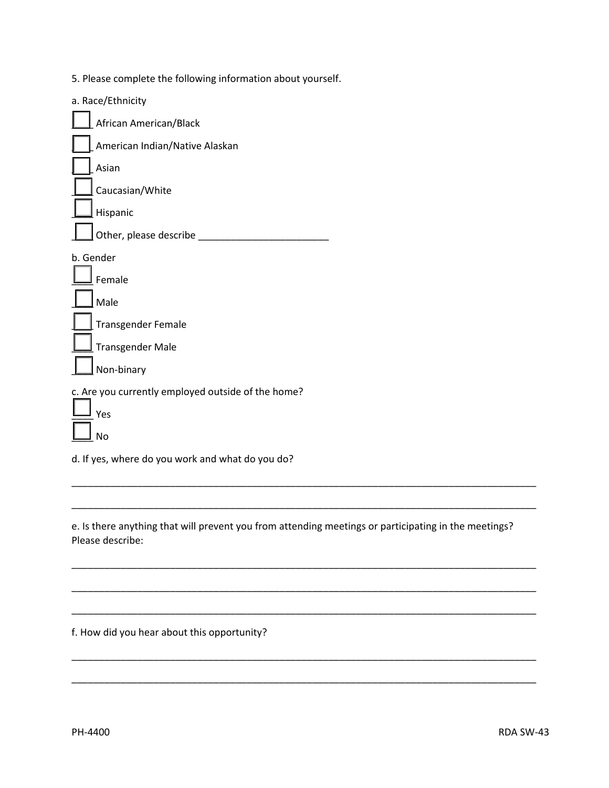5. Please complete the following information about yourself.

|           | a. Race/Ethnicity                                  |
|-----------|----------------------------------------------------|
|           | African American/Black                             |
|           | American Indian/Native Alaskan                     |
|           | Asian                                              |
|           | Caucasian/White                                    |
|           | Hispanic                                           |
|           | Other, please describe                             |
| b. Gender |                                                    |
|           | Female                                             |
|           | Male                                               |
|           | <b>Transgender Female</b>                          |
|           | <b>Transgender Male</b>                            |
|           | Non-binary                                         |
|           | c. Are you currently employed outside of the home? |
|           | Yes                                                |
|           | No                                                 |

d. If yes, where do you work and what do you do?

e. Is there anything that will prevent you from attending meetings or participating in the meetings? Please describe:

\_\_\_\_\_\_\_\_\_\_\_\_\_\_\_\_\_\_\_\_\_\_\_\_\_\_\_\_\_\_\_\_\_\_\_\_\_\_\_\_\_\_\_\_\_\_\_\_\_\_\_\_\_\_\_\_\_\_\_\_\_\_\_\_\_\_\_\_\_\_\_\_\_\_\_\_\_\_\_\_\_\_\_\_\_

\_\_\_\_\_\_\_\_\_\_\_\_\_\_\_\_\_\_\_\_\_\_\_\_\_\_\_\_\_\_\_\_\_\_\_\_\_\_\_\_\_\_\_\_\_\_\_\_\_\_\_\_\_\_\_\_\_\_\_\_\_\_\_\_\_\_\_\_\_\_\_\_\_\_\_\_\_\_\_\_\_\_\_\_\_

\_\_\_\_\_\_\_\_\_\_\_\_\_\_\_\_\_\_\_\_\_\_\_\_\_\_\_\_\_\_\_\_\_\_\_\_\_\_\_\_\_\_\_\_\_\_\_\_\_\_\_\_\_\_\_\_\_\_\_\_\_\_\_\_\_\_\_\_\_\_\_\_\_\_\_\_\_\_\_\_\_\_\_\_\_

\_\_\_\_\_\_\_\_\_\_\_\_\_\_\_\_\_\_\_\_\_\_\_\_\_\_\_\_\_\_\_\_\_\_\_\_\_\_\_\_\_\_\_\_\_\_\_\_\_\_\_\_\_\_\_\_\_\_\_\_\_\_\_\_\_\_\_\_\_\_\_\_\_\_\_\_\_\_\_\_\_\_\_\_\_

\_\_\_\_\_\_\_\_\_\_\_\_\_\_\_\_\_\_\_\_\_\_\_\_\_\_\_\_\_\_\_\_\_\_\_\_\_\_\_\_\_\_\_\_\_\_\_\_\_\_\_\_\_\_\_\_\_\_\_\_\_\_\_\_\_\_\_\_\_\_\_\_\_\_\_\_\_\_\_\_\_\_\_\_\_

\_\_\_\_\_\_\_\_\_\_\_\_\_\_\_\_\_\_\_\_\_\_\_\_\_\_\_\_\_\_\_\_\_\_\_\_\_\_\_\_\_\_\_\_\_\_\_\_\_\_\_\_\_\_\_\_\_\_\_\_\_\_\_\_\_\_\_\_\_\_\_\_\_\_\_\_\_\_\_\_\_\_\_\_\_

\_\_\_\_\_\_\_\_\_\_\_\_\_\_\_\_\_\_\_\_\_\_\_\_\_\_\_\_\_\_\_\_\_\_\_\_\_\_\_\_\_\_\_\_\_\_\_\_\_\_\_\_\_\_\_\_\_\_\_\_\_\_\_\_\_\_\_\_\_\_\_\_\_\_\_\_\_\_\_\_\_\_\_\_\_

f. How did you hear about this opportunity?